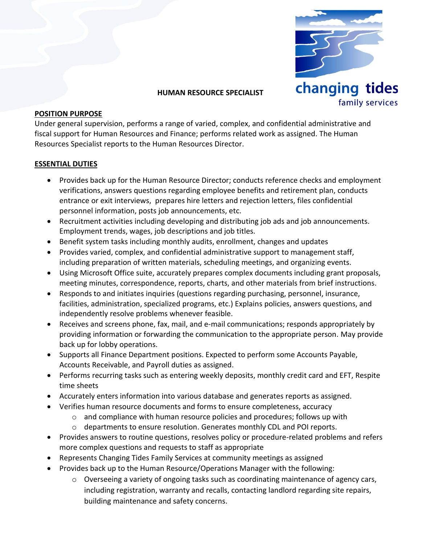

#### **HUMAN RESOURCE SPECIALIST**

#### **POSITION PURPOSE**

Under general supervision, performs a range of varied, complex, and confidential administrative and fiscal support for Human Resources and Finance; performs related work as assigned. The Human Resources Specialist reports to the Human Resources Director.

#### **ESSENTIAL DUTIES**

- Provides back up for the Human Resource Director; conducts reference checks and employment verifications, answers questions regarding employee benefits and retirement plan, conducts entrance or exit interviews, prepares hire letters and rejection letters, files confidential personnel information, posts job announcements, etc.
- Recruitment activities including developing and distributing job ads and job announcements. Employment trends, wages, job descriptions and job titles.
- Benefit system tasks including monthly audits, enrollment, changes and updates
- Provides varied, complex, and confidential administrative support to management staff, including preparation of written materials, scheduling meetings, and organizing events.
- Using Microsoft Office suite, accurately prepares complex documents including grant proposals, meeting minutes, correspondence, reports, charts, and other materials from brief instructions.
- Responds to and initiates inquiries (questions regarding purchasing, personnel, insurance, facilities, administration, specialized programs, etc.) Explains policies, answers questions, and independently resolve problems whenever feasible.
- Receives and screens phone, fax, mail, and e-mail communications; responds appropriately by providing information or forwarding the communication to the appropriate person. May provide back up for lobby operations.
- Supports all Finance Department positions. Expected to perform some Accounts Payable, Accounts Receivable, and Payroll duties as assigned.
- Performs recurring tasks such as entering weekly deposits, monthly credit card and EFT, Respite time sheets
- Accurately enters information into various database and generates reports as assigned.
- Verifies human resource documents and forms to ensure completeness, accuracy
	- $\circ$  and compliance with human resource policies and procedures; follows up with
	- $\circ$  departments to ensure resolution. Generates monthly CDL and POI reports.
- Provides answers to routine questions, resolves policy or procedure-related problems and refers more complex questions and requests to staff as appropriate
- Represents Changing Tides Family Services at community meetings as assigned
- Provides back up to the Human Resource/Operations Manager with the following:
	- $\circ$  Overseeing a variety of ongoing tasks such as coordinating maintenance of agency cars, including registration, warranty and recalls, contacting landlord regarding site repairs, building maintenance and safety concerns.